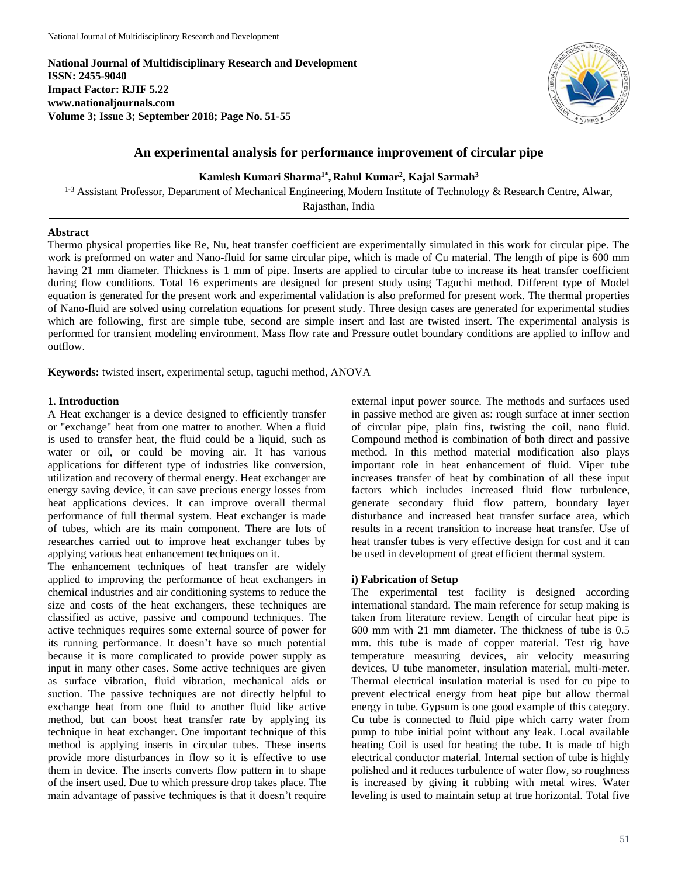**National Journal of Multidisciplinary Research and Development ISSN: 2455-9040 Impact Factor: RJIF 5.22 www.nationaljournals.com Volume 3; Issue 3; September 2018; Page No. 51-55**



# **An experimental analysis for performance improvement of circular pipe**

**Kamlesh Kumari Sharma1\* , Rahul Kumar<sup>2</sup> , Kajal Sarmah<sup>3</sup>**

<sup>1-3</sup> Assistant Professor, Department of Mechanical Engineering, Modern Institute of Technology & Research Centre, Alwar,

Rajasthan, India

# **Abstract**

Thermo physical properties like Re, Nu, heat transfer coefficient are experimentally simulated in this work for circular pipe. The work is preformed on water and Nano-fluid for same circular pipe, which is made of Cu material. The length of pipe is 600 mm having 21 mm diameter. Thickness is 1 mm of pipe. Inserts are applied to circular tube to increase its heat transfer coefficient during flow conditions. Total 16 experiments are designed for present study using Taguchi method. Different type of Model equation is generated for the present work and experimental validation is also preformed for present work. The thermal properties of Nano-fluid are solved using correlation equations for present study. Three design cases are generated for experimental studies which are following, first are simple tube, second are simple insert and last are twisted insert. The experimental analysis is performed for transient modeling environment. Mass flow rate and Pressure outlet boundary conditions are applied to inflow and outflow.

**Keywords:** twisted insert, experimental setup, taguchi method, ANOVA

## **1. Introduction**

A Heat exchanger is a device designed to efficiently transfer or "exchange" heat from one matter to another. When a fluid is used to transfer heat, the fluid could be a liquid, such as water or oil, or could be moving air. It has various applications for different type of industries like conversion, utilization and recovery of thermal energy. Heat exchanger are energy saving device, it can save precious energy losses from heat applications devices. It can improve overall thermal performance of full thermal system. Heat exchanger is made of tubes, which are its main component. There are lots of researches carried out to improve heat exchanger tubes by applying various heat enhancement techniques on it.

The enhancement techniques of heat transfer are widely applied to improving the performance of heat exchangers in chemical industries and air conditioning systems to reduce the size and costs of the heat exchangers, these techniques are classified as active, passive and compound techniques. The active techniques requires some external source of power for its running performance. It doesn't have so much potential because it is more complicated to provide power supply as input in many other cases. Some active techniques are given as surface vibration, fluid vibration, mechanical aids or suction. The passive techniques are not directly helpful to exchange heat from one fluid to another fluid like active method, but can boost heat transfer rate by applying its technique in heat exchanger. One important technique of this method is applying inserts in circular tubes. These inserts provide more disturbances in flow so it is effective to use them in device. The inserts converts flow pattern in to shape of the insert used. Due to which pressure drop takes place. The main advantage of passive techniques is that it doesn't require external input power source. The methods and surfaces used in passive method are given as: rough surface at inner section of circular pipe, plain fins, twisting the coil, nano fluid. Compound method is combination of both direct and passive method. In this method material modification also plays important role in heat enhancement of fluid. Viper tube increases transfer of heat by combination of all these input factors which includes increased fluid flow turbulence, generate secondary fluid flow pattern, boundary layer disturbance and increased heat transfer surface area, which results in a recent transition to increase heat transfer. Use of heat transfer tubes is very effective design for cost and it can be used in development of great efficient thermal system.

## **i) Fabrication of Setup**

The experimental test facility is designed according international standard. The main reference for setup making is taken from literature review. Length of circular heat pipe is 600 mm with 21 mm diameter. The thickness of tube is 0.5 mm. this tube is made of copper material. Test rig have temperature measuring devices, air velocity measuring devices, U tube manometer, insulation material, multi-meter. Thermal electrical insulation material is used for cu pipe to prevent electrical energy from heat pipe but allow thermal energy in tube. Gypsum is one good example of this category. Cu tube is connected to fluid pipe which carry water from pump to tube initial point without any leak. Local available heating Coil is used for heating the tube. It is made of high electrical conductor material. Internal section of tube is highly polished and it reduces turbulence of water flow, so roughness is increased by giving it rubbing with metal wires. Water leveling is used to maintain setup at true horizontal. Total five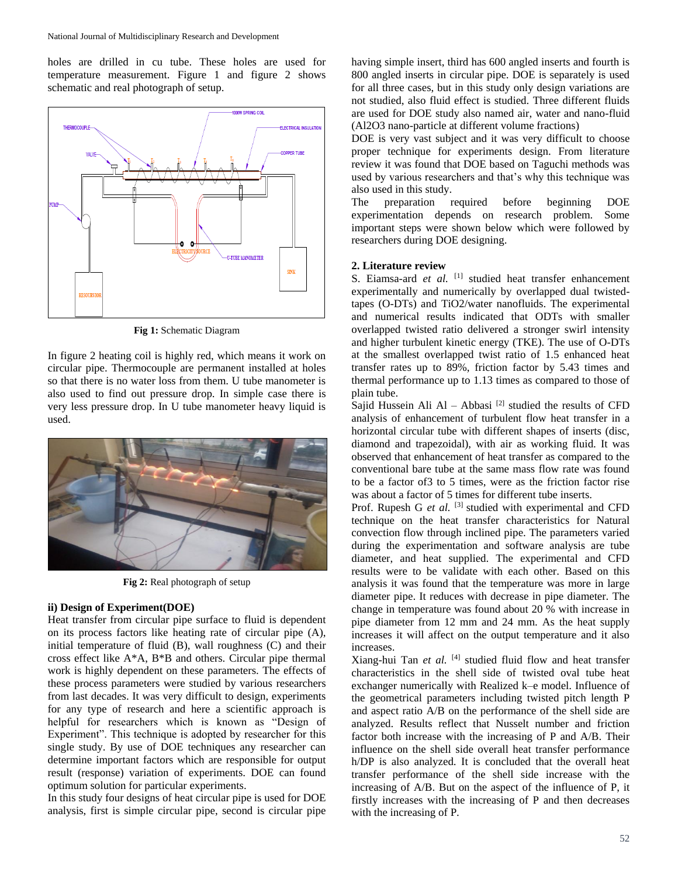holes are drilled in cu tube. These holes are used for temperature measurement. Figure 1 and figure 2 shows schematic and real photograph of setup.



**Fig 1:** Schematic Diagram

In figure 2 heating coil is highly red, which means it work on circular pipe. Thermocouple are permanent installed at holes so that there is no water loss from them. U tube manometer is also used to find out pressure drop. In simple case there is very less pressure drop. In U tube manometer heavy liquid is used.



**Fig 2:** Real photograph of setup

## **ii) Design of Experiment(DOE)**

Heat transfer from circular pipe surface to fluid is dependent on its process factors like heating rate of circular pipe (A), initial temperature of fluid (B), wall roughness (C) and their cross effect like A\*A, B\*B and others. Circular pipe thermal work is highly dependent on these parameters. The effects of these process parameters were studied by various researchers from last decades. It was very difficult to design, experiments for any type of research and here a scientific approach is helpful for researchers which is known as "Design of Experiment". This technique is adopted by researcher for this single study. By use of DOE techniques any researcher can determine important factors which are responsible for output result (response) variation of experiments. DOE can found optimum solution for particular experiments.

In this study four designs of heat circular pipe is used for DOE analysis, first is simple circular pipe, second is circular pipe having simple insert, third has 600 angled inserts and fourth is 800 angled inserts in circular pipe. DOE is separately is used for all three cases, but in this study only design variations are not studied, also fluid effect is studied. Three different fluids are used for DOE study also named air, water and nano-fluid (Al2O3 nano-particle at different volume fractions)

DOE is very vast subject and it was very difficult to choose proper technique for experiments design. From literature review it was found that DOE based on Taguchi methods was used by various researchers and that's why this technique was also used in this study.

The preparation required before beginning DOE experimentation depends on research problem. Some important steps were shown below which were followed by researchers during DOE designing.

### **2. Literature review**

S. Eiamsa-ard et al. [1] studied heat transfer enhancement experimentally and numerically by overlapped dual twistedtapes (O-DTs) and TiO2/water nanofluids. The experimental and numerical results indicated that ODTs with smaller overlapped twisted ratio delivered a stronger swirl intensity and higher turbulent kinetic energy (TKE). The use of O-DTs at the smallest overlapped twist ratio of 1.5 enhanced heat transfer rates up to 89%, friction factor by 5.43 times and thermal performance up to 1.13 times as compared to those of plain tube.

Sajid Hussein Ali Al – Abbasi  $[2]$  studied the results of CFD analysis of enhancement of turbulent flow heat transfer in a horizontal circular tube with different shapes of inserts (disc, diamond and trapezoidal), with air as working fluid. It was observed that enhancement of heat transfer as compared to the conventional bare tube at the same mass flow rate was found to be a factor of3 to 5 times, were as the friction factor rise was about a factor of 5 times for different tube inserts.

Prof. Rupesh G *et al.* <sup>[3]</sup> studied with experimental and CFD technique on the heat transfer characteristics for Natural convection flow through inclined pipe. The parameters varied during the experimentation and software analysis are tube diameter, and heat supplied. The experimental and CFD results were to be validate with each other. Based on this analysis it was found that the temperature was more in large diameter pipe. It reduces with decrease in pipe diameter. The change in temperature was found about 20 % with increase in pipe diameter from 12 mm and 24 mm. As the heat supply increases it will affect on the output temperature and it also increases.

Xiang-hui Tan *et al.* [4] studied fluid flow and heat transfer characteristics in the shell side of twisted oval tube heat exchanger numerically with Realized k–e model. Influence of the geometrical parameters including twisted pitch length P and aspect ratio A/B on the performance of the shell side are analyzed. Results reflect that Nusselt number and friction factor both increase with the increasing of P and A/B. Their influence on the shell side overall heat transfer performance h/DP is also analyzed. It is concluded that the overall heat transfer performance of the shell side increase with the increasing of A/B. But on the aspect of the influence of P, it firstly increases with the increasing of P and then decreases with the increasing of P.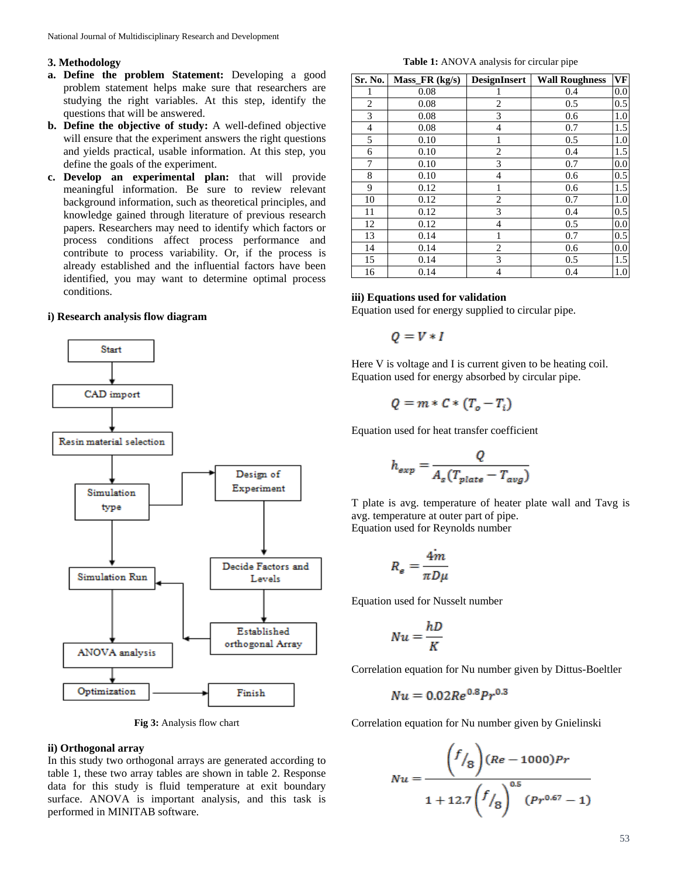### **3. Methodology**

- **a. Define the problem Statement:** Developing a good problem statement helps make sure that researchers are studying the right variables. At this step, identify the questions that will be answered.
- **b. Define the objective of study:** A well-defined objective will ensure that the experiment answers the right questions and yields practical, usable information. At this step, you define the goals of the experiment.
- **c. Develop an experimental plan:** that will provide meaningful information. Be sure to review relevant background information, such as theoretical principles, and knowledge gained through literature of previous research papers. Researchers may need to identify which factors or process conditions affect process performance and contribute to process variability. Or, if the process is already established and the influential factors have been identified, you may want to determine optimal process conditions.

### **i) Research analysis flow diagram**



**Fig 3:** Analysis flow chart

# **ii) Orthogonal array**

In this study two orthogonal arrays are generated according to table 1, these two array tables are shown in table 2. Response data for this study is fluid temperature at exit boundary surface. ANOVA is important analysis, and this task is performed in MINITAB software.

**Table 1:** ANOVA analysis for circular pipe

| Sr. No. | $Mass_F R (kg/s)$ | <b>DesignInsert</b> | <b>Wall Roughness</b> | VF  |
|---------|-------------------|---------------------|-----------------------|-----|
| 1       | 0.08              |                     | 0.4                   | 0.0 |
| 2       | 0.08              | 2                   | 0.5                   | 0.5 |
| 3       | 0.08              | 3                   | 0.6                   | 1.0 |
| 4       | 0.08              | 4                   | 0.7                   | 1.5 |
| 5       | 0.10              | 1                   | 0.5                   | 1.0 |
| 6       | 0.10              | $\overline{c}$      | 0.4                   | 1.5 |
| 7       | 0.10              | 3                   | 0.7                   | 0.0 |
| 8       | 0.10              | 4                   | 0.6                   | 0.5 |
| 9       | 0.12              |                     | 0.6                   | 1.5 |
| 10      | 0.12              | 2                   | 0.7                   | 1.0 |
| 11      | 0.12              | 3                   | 0.4                   | 0.5 |
| 12      | 0.12              | 4                   | 0.5                   | 0.0 |
| 13      | 0.14              | 1                   | 0.7                   | 0.5 |
| 14      | 0.14              | 2                   | 0.6                   | 0.0 |
| 15      | 0.14              | 3                   | 0.5                   | 1.5 |
| 16      | 0.14              | 4                   | 0.4                   | 1.0 |

#### **iii) Equations used for validation**

Equation used for energy supplied to circular pipe.

$$
Q = V * I
$$

Here V is voltage and I is current given to be heating coil. Equation used for energy absorbed by circular pipe.

$$
Q = m * C * (T_o - T_i)
$$

Equation used for heat transfer coefficient

$$
h_{exp} = \frac{Q}{A_s(T_{plate} - T_{avg})}
$$

T plate is avg. temperature of heater plate wall and Tavg is avg. temperature at outer part of pipe. Equation used for Reynolds number

$$
R_e = \frac{4m}{\pi D \mu}
$$

Equation used for Nusselt number

$$
Nu = \frac{hD}{K}
$$

Correlation equation for Nu number given by Dittus-Boeltler

$$
Nu = 0.02Re^{0.8} Pr^{0.3}
$$

Correlation equation for Nu number given by Gnielinski

$$
Nu = \frac{\left(f/_{8}\right)(Re - 1000)Pr}{1 + 12.7\left(f/_{8}\right)^{0.5}\left(Pr^{0.67} - 1\right)}
$$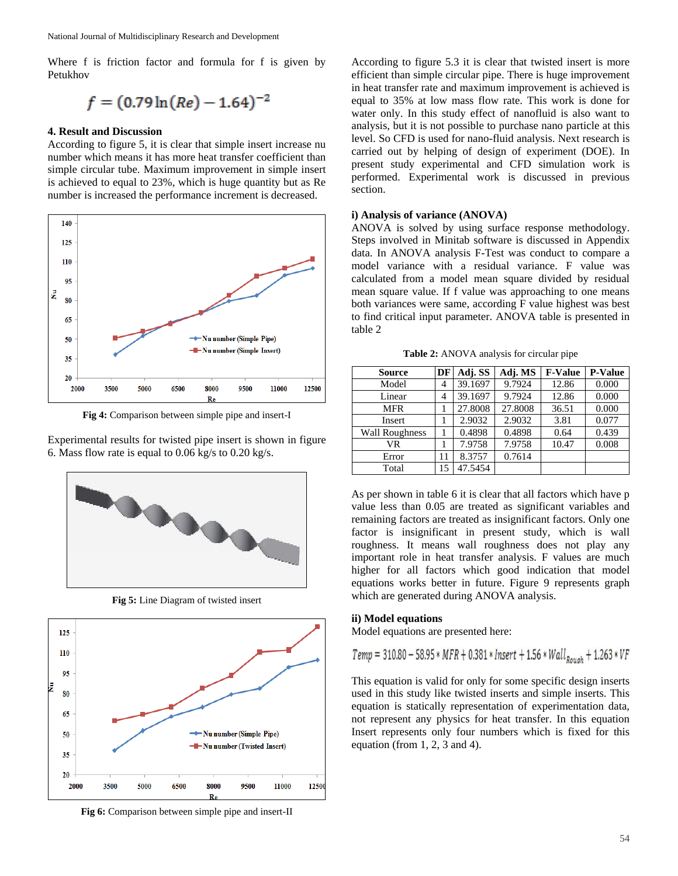Where f is friction factor and formula for f is given by Petukhov

$$
f = (0.79 \ln(Re) - 1.64)^{-2}
$$

#### **4. Result and Discussion**

According to figure 5, it is clear that simple insert increase nu number which means it has more heat transfer coefficient than simple circular tube. Maximum improvement in simple insert is achieved to equal to 23%, which is huge quantity but as Re number is increased the performance increment is decreased.



**Fig 4:** Comparison between simple pipe and insert-I

Experimental results for twisted pipe insert is shown in figure 6. Mass flow rate is equal to 0.06 kg/s to 0.20 kg/s.



**Fig 5:** Line Diagram of twisted insert



**Fig 6:** Comparison between simple pipe and insert-II

According to figure 5.3 it is clear that twisted insert is more efficient than simple circular pipe. There is huge improvement in heat transfer rate and maximum improvement is achieved is equal to 35% at low mass flow rate. This work is done for water only. In this study effect of nanofluid is also want to analysis, but it is not possible to purchase nano particle at this level. So CFD is used for nano-fluid analysis. Next research is carried out by helping of design of experiment (DOE). In present study experimental and CFD simulation work is performed. Experimental work is discussed in previous section.

### **i) Analysis of variance (ANOVA)**

ANOVA is solved by using surface response methodology. Steps involved in Minitab software is discussed in Appendix data. In ANOVA analysis F-Test was conduct to compare a model variance with a residual variance. F value was calculated from a model mean square divided by residual mean square value. If f value was approaching to one means both variances were same, according F value highest was best to find critical input parameter. ANOVA table is presented in table 2

**Table 2:** ANOVA analysis for circular pipe

| <b>Source</b>         | DF             | Adj. SS | Adj. MS | <b>F-Value</b> | <b>P-Value</b> |
|-----------------------|----------------|---------|---------|----------------|----------------|
| Model                 | $\overline{4}$ | 39.1697 | 9.7924  | 12.86          | 0.000          |
| Linear                | 4              | 39.1697 | 9.7924  | 12.86          | 0.000          |
| <b>MFR</b>            |                | 27.8008 | 27.8008 | 36.51          | 0.000          |
| Insert                |                | 2.9032  | 2.9032  | 3.81           | 0.077          |
| <b>Wall Roughness</b> |                | 0.4898  | 0.4898  | 0.64           | 0.439          |
| VR                    |                | 7.9758  | 7.9758  | 10.47          | 0.008          |
| Error                 | 11             | 8.3757  | 0.7614  |                |                |
| Total                 | 15             | 47.5454 |         |                |                |

As per shown in table 6 it is clear that all factors which have p value less than 0.05 are treated as significant variables and remaining factors are treated as insignificant factors. Only one factor is insignificant in present study, which is wall roughness. It means wall roughness does not play any important role in heat transfer analysis. F values are much higher for all factors which good indication that model equations works better in future. Figure 9 represents graph which are generated during ANOVA analysis.

## **ii) Model equations**

Model equations are presented here:

$$
Temp = 310.80 - 58.95 * MFR + 0.381 * Insert + 1.56 * WallRouch + 1.263 * VF
$$

This equation is valid for only for some specific design inserts used in this study like twisted inserts and simple inserts. This equation is statically representation of experimentation data, not represent any physics for heat transfer. In this equation Insert represents only four numbers which is fixed for this equation (from 1, 2, 3 and 4).